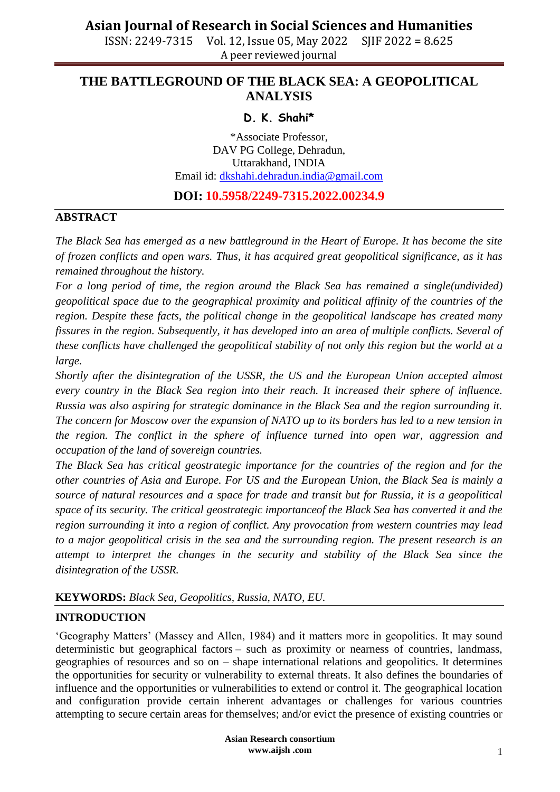### **THE BATTLEGROUND OF THE BLACK SEA: A GEOPOLITICAL ANALYSIS**

### **D. K. Shahi\***

\*Associate Professor, DAV PG College, Dehradun, Uttarakhand, INDIA Email id: [dkshahi.dehradun.india@gmail.com](mailto:dkshahi.dehradun.india@gmail.com)

### **DOI: 10.5958/2249-7315.2022.00234.9**

#### **ABSTRACT**

*The Black Sea has emerged as a new battleground in the Heart of Europe. It has become the site of frozen conflicts and open wars. Thus, it has acquired great geopolitical significance, as it has remained throughout the history.*

*For a long period of time, the region around the Black Sea has remained a single(undivided) geopolitical space due to the geographical proximity and political affinity of the countries of the region. Despite these facts, the political change in the geopolitical landscape has created many fissures in the region. Subsequently, it has developed into an area of multiple conflicts. Several of these conflicts have challenged the geopolitical stability of not only this region but the world at a large.* 

*Shortly after the disintegration of the USSR, the US and the European Union accepted almost every country in the Black Sea region into their reach. It increased their sphere of influence. Russia was also aspiring for strategic dominance in the Black Sea and the region surrounding it. The concern for Moscow over the expansion of NATO up to its borders has led to a new tension in the region. The conflict in the sphere of influence turned into open war, aggression and occupation of the land of sovereign countries.*

*The Black Sea has critical geostrategic importance for the countries of the region and for the other countries of Asia and Europe. For US and the European Union, the Black Sea is mainly a source of natural resources and a space for trade and transit but for Russia, it is a geopolitical space of its security. The critical geostrategic importanceof the Black Sea has converted it and the region surrounding it into a region of conflict. Any provocation from western countries may lead to a major geopolitical crisis in the sea and the surrounding region. The present research is an attempt to interpret the changes in the security and stability of the Black Sea since the disintegration of the USSR.*

### **KEYWORDS:** *Black Sea, Geopolitics, Russia, NATO, EU.*

#### **INTRODUCTION**

'Geography Matters' (Massey and Allen, 1984) and it matters more in geopolitics. It may sound deterministic but geographical factors – such as proximity or nearness of countries, landmass, geographies of resources and so on – shape international relations and geopolitics. It determines the opportunities for security or vulnerability to external threats. It also defines the boundaries of influence and the opportunities or vulnerabilities to extend or control it. The geographical location and configuration provide certain inherent advantages or challenges for various countries attempting to secure certain areas for themselves; and/or evict the presence of existing countries or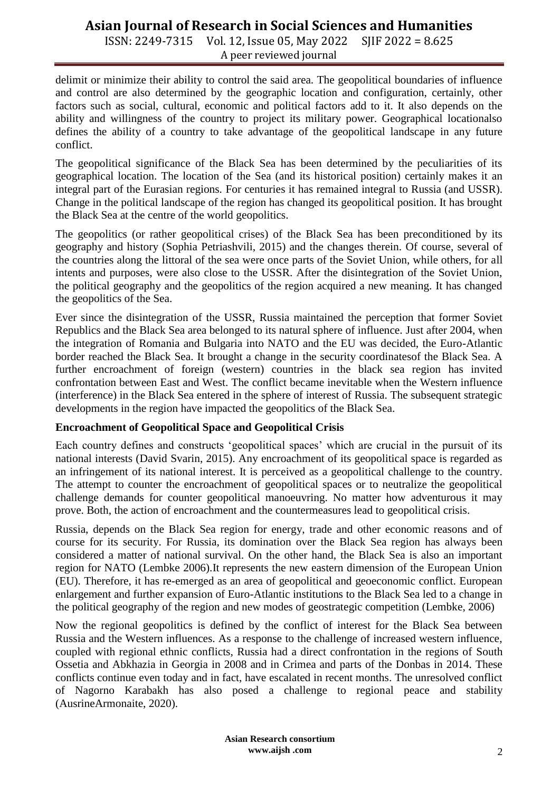ISSN: 2249-7315 Vol. 12, Issue 05, May 2022 SJIF 2022 = 8.625 A peer reviewed journal

delimit or minimize their ability to control the said area. The geopolitical boundaries of influence and control are also determined by the geographic location and configuration, certainly, other factors such as social, cultural, economic and political factors add to it. It also depends on the ability and willingness of the country to project its military power. Geographical locationalso defines the ability of a country to take advantage of the geopolitical landscape in any future conflict.

The geopolitical significance of the Black Sea has been determined by the peculiarities of its geographical location. The location of the Sea (and its historical position) certainly makes it an integral part of the Eurasian regions. For centuries it has remained integral to Russia (and USSR). Change in the political landscape of the region has changed its geopolitical position. It has brought the Black Sea at the centre of the world geopolitics.

The geopolitics (or rather geopolitical crises) of the Black Sea has been preconditioned by its geography and history (Sophia Petriashvili, 2015) and the changes therein. Of course, several of the countries along the littoral of the sea were once parts of the Soviet Union, while others, for all intents and purposes, were also close to the USSR. After the disintegration of the Soviet Union, the political geography and the geopolitics of the region acquired a new meaning. It has changed the geopolitics of the Sea.

Ever since the disintegration of the USSR, Russia maintained the perception that former Soviet Republics and the Black Sea area belonged to its natural sphere of influence. Just after 2004, when the integration of Romania and Bulgaria into NATO and the EU was decided, the Euro-Atlantic border reached the Black Sea. It brought a change in the security coordinatesof the Black Sea. A further encroachment of foreign (western) countries in the black sea region has invited confrontation between East and West. The conflict became inevitable when the Western influence (interference) in the Black Sea entered in the sphere of interest of Russia. The subsequent strategic developments in the region have impacted the geopolitics of the Black Sea.

### **Encroachment of Geopolitical Space and Geopolitical Crisis**

Each country defines and constructs 'geopolitical spaces' which are crucial in the pursuit of its national interests (David Svarin, 2015). Any encroachment of its geopolitical space is regarded as an infringement of its national interest. It is perceived as a geopolitical challenge to the country. The attempt to counter the encroachment of geopolitical spaces or to neutralize the geopolitical challenge demands for counter geopolitical manoeuvring. No matter how adventurous it may prove. Both, the action of encroachment and the countermeasures lead to geopolitical crisis.

Russia, depends on the Black Sea region for energy, trade and other economic reasons and of course for its security. For Russia, its domination over the Black Sea region has always been considered a matter of national survival. On the other hand, the Black Sea is also an important region for NATO (Lembke 2006).It represents the new eastern dimension of the European Union (EU). Therefore, it has re-emerged as an area of geopolitical and geoeconomic conflict. European enlargement and further expansion of Euro-Atlantic institutions to the Black Sea led to a change in the political geography of the region and new modes of geostrategic competition (Lembke, 2006)

Now the regional geopolitics is defined by the conflict of interest for the Black Sea between Russia and the Western influences. As a response to the challenge of increased western influence, coupled with regional ethnic conflicts, Russia had a direct confrontation in the regions of South Ossetia and Abkhazia in Georgia in 2008 and in Crimea and parts of the Donbas in 2014. These conflicts continue even today and in fact, have escalated in recent months. The unresolved conflict of Nagorno Karabakh has also posed a challenge to regional peace and stability (AusrineArmonaite, 2020).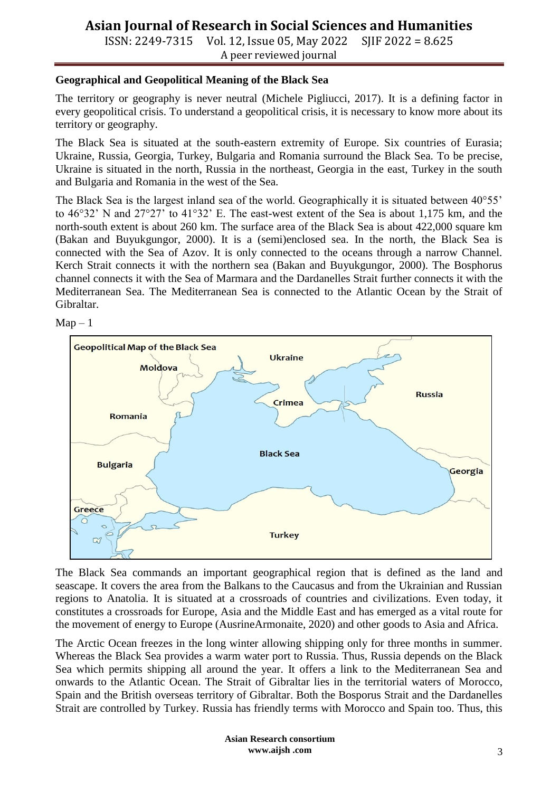ISSN: 2249-7315 Vol. 12, Issue 05, May 2022 SJIF 2022 = 8.625 A peer reviewed journal

#### **Geographical and Geopolitical Meaning of the Black Sea**

The territory or geography is never neutral (Michele Pigliucci, 2017). It is a defining factor in every geopolitical crisis. To understand a geopolitical crisis, it is necessary to know more about its territory or geography.

The Black Sea is situated at the south-eastern extremity of Europe. Six countries of Eurasia; Ukraine, Russia, Georgia, Turkey, Bulgaria and Romania surround the Black Sea. To be precise, Ukraine is situated in the north, Russia in the northeast, Georgia in the east, Turkey in the south and Bulgaria and Romania in the west of the Sea.

The Black Sea is the largest inland sea of the world. Geographically it is situated between 40°55' to 46°32' N and 27°27' to 41°32' E. The east-west extent of the Sea is about 1,175 km, and the north-south extent is about 260 km. The surface area of the Black Sea is about 422,000 square km (Bakan and Buyukgungor, 2000). It is a (semi)enclosed sea. In the north, the Black Sea is connected with the Sea of Azov. It is only connected to the oceans through a narrow Channel. Kerch Strait connects it with the northern sea (Bakan and Buyukgungor, 2000). The Bosphorus channel connects it with the Sea of Marmara and the Dardanelles Strait further connects it with the Mediterranean Sea. The Mediterranean Sea is connected to the Atlantic Ocean by the Strait of Gibraltar.





The Black Sea commands an important geographical region that is defined as the land and seascape. It covers the area from the Balkans to the Caucasus and from the Ukrainian and Russian regions to Anatolia. It is situated at a crossroads of countries and civilizations. Even today, it constitutes a crossroads for Europe, Asia and the Middle East and has emerged as a vital route for the movement of energy to Europe (AusrineArmonaite, 2020) and other goods to Asia and Africa.

The Arctic Ocean freezes in the long winter allowing shipping only for three months in summer. Whereas the Black Sea provides a warm water port to Russia. Thus, Russia depends on the Black Sea which permits shipping all around the year. It offers a link to the Mediterranean Sea and onwards to the Atlantic Ocean. The Strait of Gibraltar lies in the territorial waters of Morocco, Spain and the British overseas territory of Gibraltar. Both the Bosporus Strait and the Dardanelles Strait are controlled by Turkey. Russia has friendly terms with Morocco and Spain too. Thus, this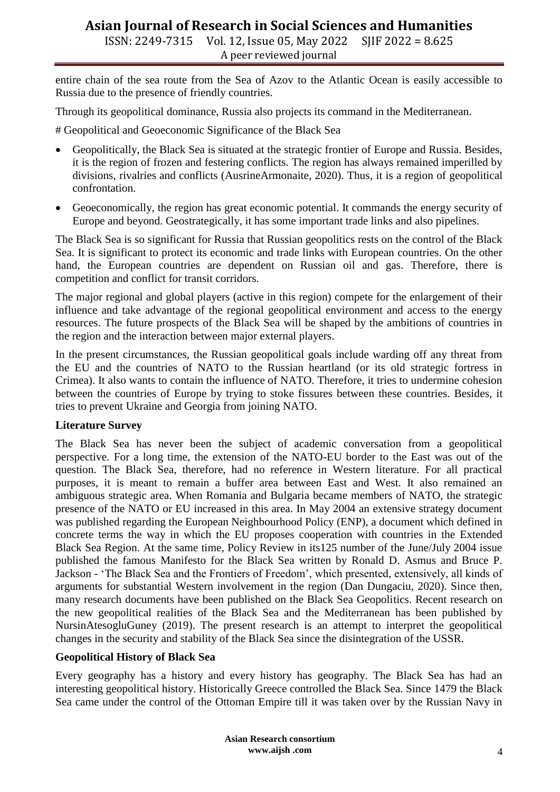ISSN: 2249-7315 Vol. 12, Issue 05, May 2022 SJIF 2022 = 8.625 A peer reviewed journal

entire chain of the sea route from the Sea of Azov to the Atlantic Ocean is easily accessible to Russia due to the presence of friendly countries.

Through its geopolitical dominance, Russia also projects its command in the Mediterranean.

# Geopolitical and Geoeconomic Significance of the Black Sea

- Geopolitically, the Black Sea is situated at the strategic frontier of Europe and Russia. Besides, it is the region of frozen and festering conflicts. The region has always remained imperilled by divisions, rivalries and conflicts (AusrineArmonaite, 2020). Thus, it is a region of geopolitical confrontation.
- Geoeconomically, the region has great economic potential. It commands the energy security of Europe and beyond. Geostrategically, it has some important trade links and also pipelines.

The Black Sea is so significant for Russia that Russian geopolitics rests on the control of the Black Sea. It is significant to protect its economic and trade links with European countries. On the other hand, the European countries are dependent on Russian oil and gas. Therefore, there is competition and conflict for transit corridors.

The major regional and global players (active in this region) compete for the enlargement of their influence and take advantage of the regional geopolitical environment and access to the energy resources. The future prospects of the Black Sea will be shaped by the ambitions of countries in the region and the interaction between major external players.

In the present circumstances, the Russian geopolitical goals include warding off any threat from the EU and the countries of NATO to the Russian heartland (or its old strategic fortress in Crimea). It also wants to contain the influence of NATO. Therefore, it tries to undermine cohesion between the countries of Europe by trying to stoke fissures between these countries. Besides, it tries to prevent Ukraine and Georgia from joining NATO.

#### **Literature Survey**

The Black Sea has never been the subject of academic conversation from a geopolitical perspective. For a long time, the extension of the NATO-EU border to the East was out of the question. The Black Sea, therefore, had no reference in Western literature. For all practical purposes, it is meant to remain a buffer area between East and West. It also remained an ambiguous strategic area. When Romania and Bulgaria became members of NATO, the strategic presence of the NATO or EU increased in this area. In May 2004 an extensive strategy document was published regarding the European Neighbourhood Policy (ENP), a document which defined in concrete terms the way in which the EU proposes cooperation with countries in the Extended Black Sea Region. At the same time, Policy Review in its125 number of the June/July 2004 issue published the famous Manifesto for the Black Sea written by Ronald D. Asmus and Bruce P. Jackson - 'The Black Sea and the Frontiers of Freedom', which presented, extensively, all kinds of arguments for substantial Western involvement in the region (Dan Dungaciu, 2020). Since then, many research documents have been published on the Black Sea Geopolitics. Recent research on the new geopolitical realities of the Black Sea and the Mediterranean has been published by NursinAtesogluGuney (2019). The present research is an attempt to interpret the geopolitical changes in the security and stability of the Black Sea since the disintegration of the USSR.

#### **Geopolitical History of Black Sea**

Every geography has a history and every history has geography. The Black Sea has had an interesting geopolitical history. Historically Greece controlled the Black Sea. Since 1479 the Black Sea came under the control of the Ottoman Empire till it was taken over by the Russian Navy in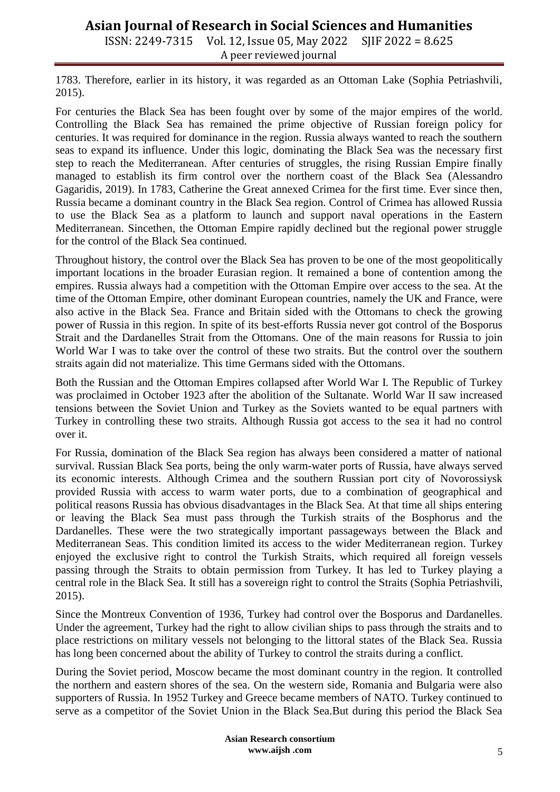ISSN: 2249-7315 Vol. 12, Issue 05, May 2022 SJIF 2022 = 8.625 A peer reviewed journal

1783. Therefore, earlier in its history, it was regarded as an Ottoman Lake (Sophia Petriashvili, 2015).

For centuries the Black Sea has been fought over by some of the major empires of the world. Controlling the Black Sea has remained the prime objective of Russian foreign policy for centuries. It was required for dominance in the region. Russia always wanted to reach the southern seas to expand its influence. Under this logic, dominating the Black Sea was the necessary first step to reach the Mediterranean. After centuries of struggles, the rising Russian Empire finally managed to establish its firm control over the northern coast of the Black Sea (Alessandro Gagaridis, 2019). In 1783, Catherine the Great annexed Crimea for the first time. Ever since then, Russia became a dominant country in the Black Sea region. Control of Crimea has allowed Russia to use the Black Sea as a platform to launch and support naval operations in the Eastern Mediterranean. Sincethen, the Ottoman Empire rapidly declined but the regional power struggle for the control of the Black Sea continued.

Throughout history, the control over the Black Sea has proven to be one of the most geopolitically important locations in the broader Eurasian region. It remained a bone of contention among the empires. Russia always had a competition with the Ottoman Empire over access to the sea. At the time of the Ottoman Empire, other dominant European countries, namely the UK and France, were also active in the Black Sea. France and Britain sided with the Ottomans to check the growing power of Russia in this region. In spite of its best-efforts Russia never got control of the Bosporus Strait and the Dardanelles Strait from the Ottomans. One of the main reasons for Russia to join World War I was to take over the control of these two straits. But the control over the southern straits again did not materialize. This time Germans sided with the Ottomans.

Both the Russian and the Ottoman Empires collapsed after World War I. The Republic of Turkey was proclaimed in October 1923 after the abolition of the Sultanate. World War II saw increased tensions between the Soviet Union and Turkey as the Soviets wanted to be equal partners with Turkey in controlling these two straits. Although Russia got access to the sea it had no control over it.

For Russia, domination of the Black Sea region has always been considered a matter of national survival. Russian Black Sea ports, being the only warm-water ports of Russia, have always served its economic interests. Although Crimea and the southern Russian port city of Novorossiysk provided Russia with access to warm water ports, due to a combination of geographical and political reasons Russia has obvious disadvantages in the Black Sea. At that time all ships entering or leaving the Black Sea must pass through the Turkish straits of the Bosphorus and the Dardanelles. These were the two strategically important passageways between the Black and Mediterranean Seas. This condition limited its access to the wider Mediterranean region. Turkey enjoyed the exclusive right to control the Turkish Straits, which required all foreign vessels passing through the Straits to obtain permission from Turkey. It has led to Turkey playing a central role in the Black Sea. It still has a sovereign right to control the Straits (Sophia Petriashvili, 2015).

Since the Montreux Convention of 1936, Turkey had control over the Bosporus and Dardanelles. Under the agreement, Turkey had the right to allow civilian ships to pass through the straits and to place restrictions on military vessels not belonging to the littoral states of the Black Sea. Russia has long been concerned about the ability of Turkey to control the straits during a conflict.

During the Soviet period, Moscow became the most dominant country in the region. It controlled the northern and eastern shores of the sea. On the western side, Romania and Bulgaria were also supporters of Russia. In 1952 Turkey and Greece became members of NATO. Turkey continued to serve as a competitor of the Soviet Union in the Black Sea.But during this period the Black Sea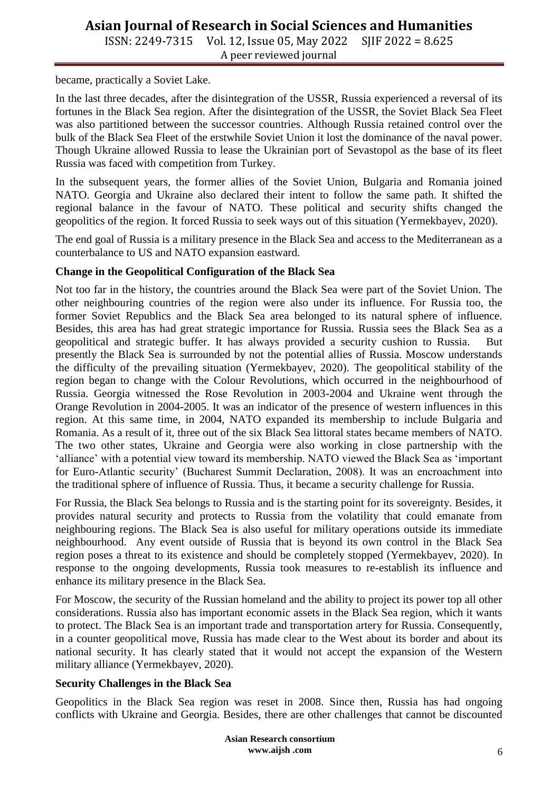ISSN: 2249-7315 Vol. 12, Issue 05, May 2022 SJIF 2022 = 8.625 A peer reviewed journal

became, practically a Soviet Lake.

In the last three decades, after the disintegration of the USSR, Russia experienced a reversal of its fortunes in the Black Sea region. After the disintegration of the USSR, the Soviet Black Sea Fleet was also partitioned between the successor countries. Although Russia retained control over the bulk of the Black Sea Fleet of the erstwhile Soviet Union it lost the dominance of the naval power. Though Ukraine allowed Russia to lease the Ukrainian port of Sevastopol as the base of its fleet Russia was faced with competition from Turkey.

In the subsequent years, the former allies of the Soviet Union, Bulgaria and Romania joined NATO. Georgia and Ukraine also declared their intent to follow the same path. It shifted the regional balance in the favour of NATO. These political and security shifts changed the geopolitics of the region. It forced Russia to seek ways out of this situation (Yermekbayev, 2020).

The end goal of Russia is a military presence in the Black Sea and access to the Mediterranean as a counterbalance to US and NATO expansion eastward.

#### **Change in the Geopolitical Configuration of the Black Sea**

Not too far in the history, the countries around the Black Sea were part of the Soviet Union. The other neighbouring countries of the region were also under its influence. For Russia too, the former Soviet Republics and the Black Sea area belonged to its natural sphere of influence. Besides, this area has had great strategic importance for Russia. Russia sees the Black Sea as a geopolitical and strategic buffer. It has always provided a security cushion to Russia. But presently the Black Sea is surrounded by not the potential allies of Russia. Moscow understands the difficulty of the prevailing situation (Yermekbayev, 2020). The geopolitical stability of the region began to change with the Colour Revolutions, which occurred in the neighbourhood of Russia. Georgia witnessed the Rose Revolution in 2003-2004 and Ukraine went through the Orange Revolution in 2004-2005. It was an indicator of the presence of western influences in this region. At this same time, in 2004, NATO expanded its membership to include Bulgaria and Romania. As a result of it, three out of the six Black Sea littoral states became members of NATO. The two other states, Ukraine and Georgia were also working in close partnership with the 'alliance' with a potential view toward its membership. NATO viewed the Black Sea as 'important for Euro-Atlantic security' (Bucharest Summit Declaration, 2008). It was an encroachment into the traditional sphere of influence of Russia. Thus, it became a security challenge for Russia.

For Russia, the Black Sea belongs to Russia and is the starting point for its sovereignty. Besides, it provides natural security and protects to Russia from the volatility that could emanate from neighbouring regions. The Black Sea is also useful for military operations outside its immediate neighbourhood. Any event outside of Russia that is beyond its own control in the Black Sea region poses a threat to its existence and should be completely stopped (Yermekbayev, 2020). In response to the ongoing developments, Russia took measures to re-establish its influence and enhance its military presence in the Black Sea.

For Moscow, the security of the Russian homeland and the ability to project its power top all other considerations. Russia also has important economic assets in the Black Sea region, which it wants to protect. The Black Sea is an important trade and transportation artery for Russia. Consequently, in a counter geopolitical move, Russia has made clear to the West about its border and about its national security. It has clearly stated that it would not accept the expansion of the Western military alliance (Yermekbayev, 2020).

#### **Security Challenges in the Black Sea**

Geopolitics in the Black Sea region was reset in 2008. Since then, Russia has had ongoing conflicts with Ukraine and Georgia. Besides, there are other challenges that cannot be discounted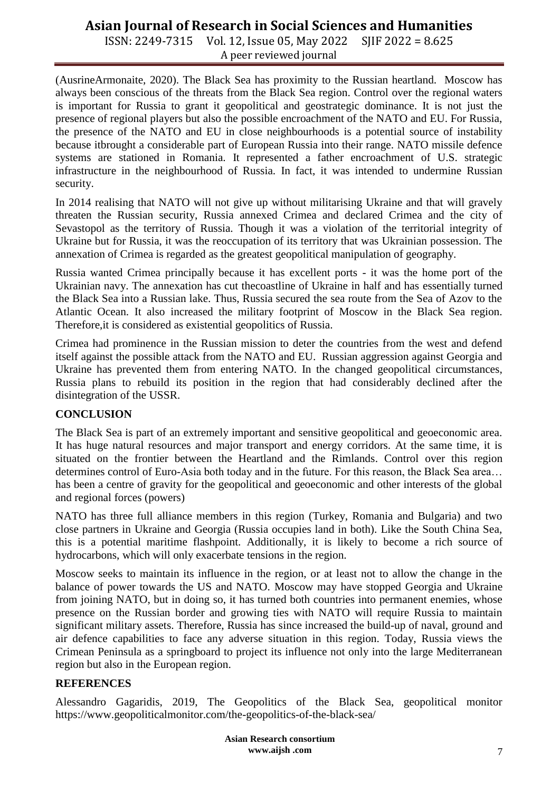ISSN: 2249-7315 Vol. 12, Issue 05, May 2022 SJIF 2022 = 8.625 A peer reviewed journal

(AusrineArmonaite, 2020). The Black Sea has proximity to the Russian heartland. Moscow has always been conscious of the threats from the Black Sea region. Control over the regional waters is important for Russia to grant it geopolitical and geostrategic dominance. It is not just the presence of regional players but also the possible encroachment of the NATO and EU. For Russia, the presence of the NATO and EU in close neighbourhoods is a potential source of instability because itbrought a considerable part of European Russia into their range. NATO missile defence systems are stationed in Romania. It represented a father encroachment of U.S. strategic infrastructure in the neighbourhood of Russia. In fact, it was intended to undermine Russian security.

In 2014 realising that NATO will not give up without militarising Ukraine and that will gravely threaten the Russian security, Russia annexed Crimea and declared Crimea and the city of Sevastopol as the territory of Russia. Though it was a violation of the territorial integrity of Ukraine but for Russia, it was the reoccupation of its territory that was Ukrainian possession. The annexation of Crimea is regarded as the greatest geopolitical manipulation of geography.

Russia wanted Crimea principally because it has excellent ports - it was the home port of the Ukrainian navy. The annexation has cut thecoastline of Ukraine in half and has essentially turned the Black Sea into a Russian lake. Thus, Russia secured the sea route from the Sea of Azov to the Atlantic Ocean. It also increased the military footprint of Moscow in the Black Sea region. Therefore,it is considered as existential geopolitics of Russia.

Crimea had prominence in the Russian mission to deter the countries from the west and defend itself against the possible attack from the NATO and EU. Russian aggression against Georgia and Ukraine has prevented them from entering NATO. In the changed geopolitical circumstances, Russia plans to rebuild its position in the region that had considerably declined after the disintegration of the USSR.

#### **CONCLUSION**

The Black Sea is part of an extremely important and sensitive geopolitical and geoeconomic area. It has huge natural resources and major transport and energy corridors. At the same time, it is situated on the frontier between the Heartland and the Rimlands. Control over this region determines control of Euro-Asia both today and in the future. For this reason, the Black Sea area… has been a centre of gravity for the geopolitical and geoeconomic and other interests of the global and regional forces (powers)

NATO has three full alliance members in this region (Turkey, Romania and Bulgaria) and two close partners in Ukraine and Georgia (Russia occupies land in both). Like the South China Sea, this is a potential maritime flashpoint. Additionally, it is likely to become a rich source of hydrocarbons, which will only exacerbate tensions in the region.

Moscow seeks to maintain its influence in the region, or at least not to allow the change in the balance of power towards the US and NATO. Moscow may have stopped Georgia and Ukraine from joining NATO, but in doing so, it has turned both countries into permanent enemies, whose presence on the Russian border and growing ties with NATO will require Russia to maintain significant military assets. Therefore, Russia has since increased the build-up of naval, ground and air defence capabilities to face any adverse situation in this region. Today, Russia views the Crimean Peninsula as a springboard to project its influence not only into the large Mediterranean region but also in the European region.

#### **REFERENCES**

Alessandro Gagaridis, 2019, The Geopolitics of the Black Sea, geopolitical monitor https://www.geopoliticalmonitor.com/the-geopolitics-of-the-black-sea/

> **Asian Research consortium www.aijsh .com**